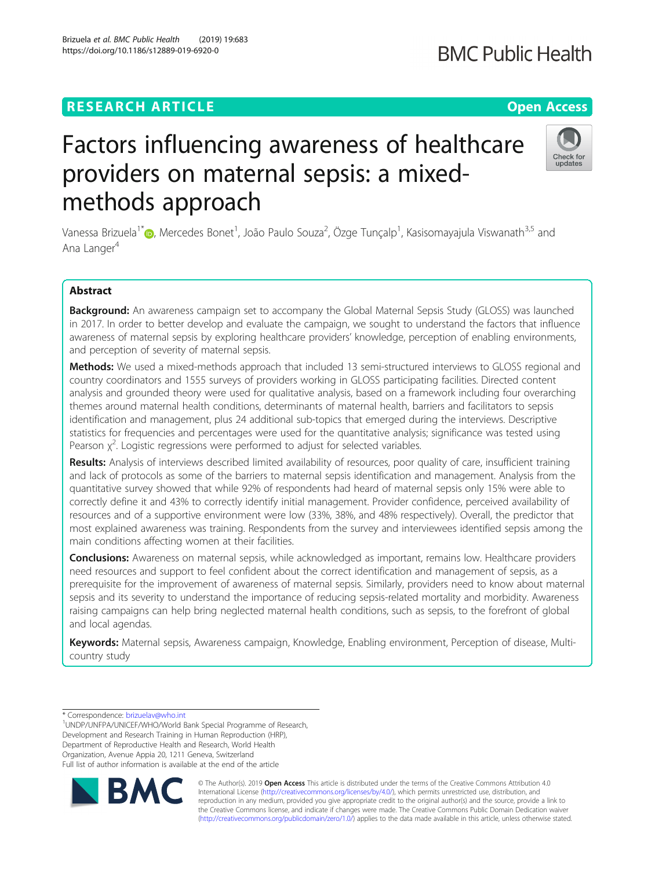# **RESEARCH ARTICLE Example 2018 12:30 THE Open Access**

# Factors influencing awareness of healthcare providers on maternal sepsis: a mixedmethods approach

Vanessa Brizuela<sup>1[\\*](http://orcid.org/0000-0002-4860-0828)</sup>�, Mercedes Bonet<sup>1</sup>, João Paulo Souza<sup>2</sup>, Özge Tunçalp<sup>1</sup>, Kasisomayajula Viswanath<sup>3,5</sup> and Ana Langer<sup>4</sup>

# Abstract

Background: An awareness campaign set to accompany the Global Maternal Sepsis Study (GLOSS) was launched in 2017. In order to better develop and evaluate the campaign, we sought to understand the factors that influence awareness of maternal sepsis by exploring healthcare providers' knowledge, perception of enabling environments, and perception of severity of maternal sepsis.

**Methods:** We used a mixed-methods approach that included 13 semi-structured interviews to GLOSS regional and country coordinators and 1555 surveys of providers working in GLOSS participating facilities. Directed content analysis and grounded theory were used for qualitative analysis, based on a framework including four overarching themes around maternal health conditions, determinants of maternal health, barriers and facilitators to sepsis identification and management, plus 24 additional sub-topics that emerged during the interviews. Descriptive statistics for frequencies and percentages were used for the quantitative analysis; significance was tested using Pearson  $\chi^2$ . Logistic regressions were performed to adjust for selected variables.

Results: Analysis of interviews described limited availability of resources, poor quality of care, insufficient training and lack of protocols as some of the barriers to maternal sepsis identification and management. Analysis from the quantitative survey showed that while 92% of respondents had heard of maternal sepsis only 15% were able to correctly define it and 43% to correctly identify initial management. Provider confidence, perceived availability of resources and of a supportive environment were low (33%, 38%, and 48% respectively). Overall, the predictor that most explained awareness was training. Respondents from the survey and interviewees identified sepsis among the main conditions affecting women at their facilities.

**Conclusions:** Awareness on maternal sepsis, while acknowledged as important, remains low. Healthcare providers need resources and support to feel confident about the correct identification and management of sepsis, as a prerequisite for the improvement of awareness of maternal sepsis. Similarly, providers need to know about maternal sepsis and its severity to understand the importance of reducing sepsis-related mortality and morbidity. Awareness raising campaigns can help bring neglected maternal health conditions, such as sepsis, to the forefront of global and local agendas.

Keywords: Maternal sepsis, Awareness campaign, Knowledge, Enabling environment, Perception of disease, Multicountry study

\* Correspondence: [brizuelav@who.int](mailto:brizuelav@who.int) <sup>1</sup>

UNDP/UNFPA/UNICEF/WHO/World Bank Special Programme of Research, Development and Research Training in Human Reproduction (HRP), Department of Reproductive Health and Research, World Health Organization, Avenue Appia 20, 1211 Geneva, Switzerland Full list of author information is available at the end of the article

> © The Author(s). 2019 **Open Access** This article is distributed under the terms of the Creative Commons Attribution 4.0 International License [\(http://creativecommons.org/licenses/by/4.0/](http://creativecommons.org/licenses/by/4.0/)), which permits unrestricted use, distribution, and reproduction in any medium, provided you give appropriate credit to the original author(s) and the source, provide a link to the Creative Commons license, and indicate if changes were made. The Creative Commons Public Domain Dedication waiver [\(http://creativecommons.org/publicdomain/zero/1.0/](http://creativecommons.org/publicdomain/zero/1.0/)) applies to the data made available in this article, unless otherwise stated.





# **BMC Public Health**



Brizuela et al. BMC Public Health (2019) 19:683 https://doi.org/10.1186/s12889-019-6920-0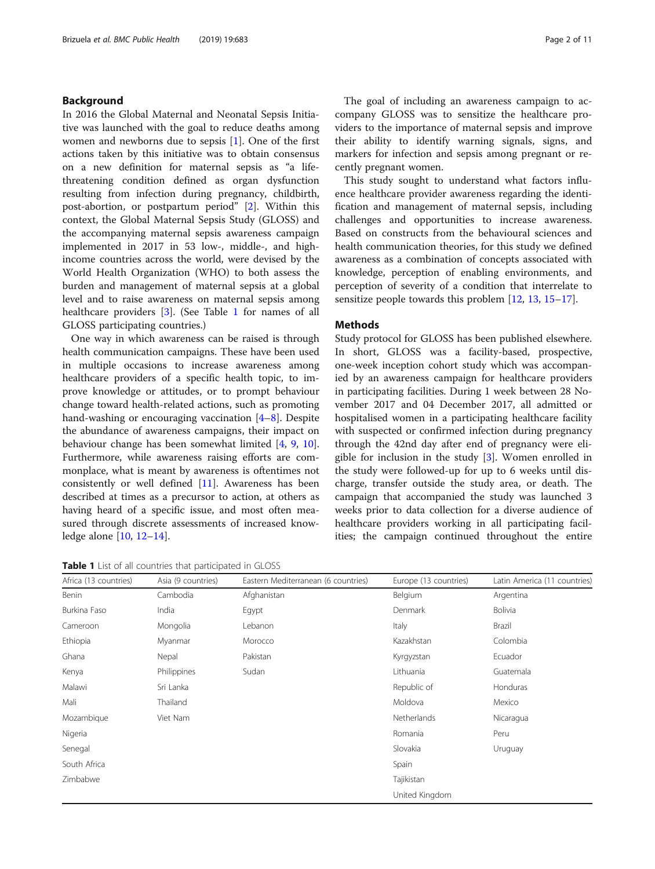# Background

In 2016 the Global Maternal and Neonatal Sepsis Initiative was launched with the goal to reduce deaths among women and newborns due to sepsis [\[1](#page-9-0)]. One of the first actions taken by this initiative was to obtain consensus on a new definition for maternal sepsis as "a lifethreatening condition defined as organ dysfunction resulting from infection during pregnancy, childbirth, post-abortion, or postpartum period" [\[2](#page-9-0)]. Within this context, the Global Maternal Sepsis Study (GLOSS) and the accompanying maternal sepsis awareness campaign implemented in 2017 in 53 low-, middle-, and highincome countries across the world, were devised by the World Health Organization (WHO) to both assess the burden and management of maternal sepsis at a global level and to raise awareness on maternal sepsis among healthcare providers [\[3](#page-9-0)]. (See Table 1 for names of all GLOSS participating countries.)

One way in which awareness can be raised is through health communication campaigns. These have been used in multiple occasions to increase awareness among healthcare providers of a specific health topic, to improve knowledge or attitudes, or to prompt behaviour change toward health-related actions, such as promoting hand-washing or encouraging vaccination [[4](#page-9-0)–[8](#page-9-0)]. Despite the abundance of awareness campaigns, their impact on behaviour change has been somewhat limited [[4,](#page-9-0) [9,](#page-9-0) [10](#page-9-0)]. Furthermore, while awareness raising efforts are commonplace, what is meant by awareness is oftentimes not consistently or well defined [[11](#page-9-0)]. Awareness has been described at times as a precursor to action, at others as having heard of a specific issue, and most often measured through discrete assessments of increased knowledge alone [[10,](#page-9-0) [12](#page-9-0)–[14](#page-9-0)].

Table 1 List of all countries that participated in GLOSS

The goal of including an awareness campaign to accompany GLOSS was to sensitize the healthcare providers to the importance of maternal sepsis and improve their ability to identify warning signals, signs, and markers for infection and sepsis among pregnant or recently pregnant women.

This study sought to understand what factors influence healthcare provider awareness regarding the identification and management of maternal sepsis, including challenges and opportunities to increase awareness. Based on constructs from the behavioural sciences and health communication theories, for this study we defined awareness as a combination of concepts associated with knowledge, perception of enabling environments, and perception of severity of a condition that interrelate to sensitize people towards this problem [\[12,](#page-9-0) [13,](#page-9-0) [15](#page-9-0)–[17](#page-9-0)].

# **Methods**

Study protocol for GLOSS has been published elsewhere. In short, GLOSS was a facility-based, prospective, one-week inception cohort study which was accompanied by an awareness campaign for healthcare providers in participating facilities. During 1 week between 28 November 2017 and 04 December 2017, all admitted or hospitalised women in a participating healthcare facility with suspected or confirmed infection during pregnancy through the 42nd day after end of pregnancy were eligible for inclusion in the study [\[3](#page-9-0)]. Women enrolled in the study were followed-up for up to 6 weeks until discharge, transfer outside the study area, or death. The campaign that accompanied the study was launched 3 weeks prior to data collection for a diverse audience of healthcare providers working in all participating facilities; the campaign continued throughout the entire

| Africa (13 countries) | Asia (9 countries) | Eastern Mediterranean (6 countries) | Europe (13 countries) | Latin America (11 countries) |
|-----------------------|--------------------|-------------------------------------|-----------------------|------------------------------|
| Benin                 | Cambodia           | Afghanistan                         | Belgium               | Argentina                    |
| Burkina Faso          | India              | Egypt                               | Denmark               | Bolivia                      |
| Cameroon              | Mongolia           | Lebanon                             | Italy                 | Brazil                       |
| Ethiopia              | Myanmar            | Morocco                             | Kazakhstan            | Colombia                     |
| Ghana                 | Nepal              | Pakistan                            | Kyrgyzstan            | Ecuador                      |
| Kenya                 | Philippines        | Sudan                               | Lithuania             | Guatemala                    |
| Malawi                | Sri Lanka          |                                     | Republic of           | Honduras                     |
| Mali                  | Thailand           |                                     | Moldova               | Mexico                       |
| Mozambique            | Viet Nam           |                                     | Netherlands           | Nicaragua                    |
| Nigeria               |                    |                                     | Romania               | Peru                         |
| Senegal               |                    |                                     | Slovakia              | Uruguay                      |
| South Africa          |                    |                                     | Spain                 |                              |
| Zimbabwe              |                    |                                     | Tajikistan            |                              |
|                       |                    |                                     | United Kingdom        |                              |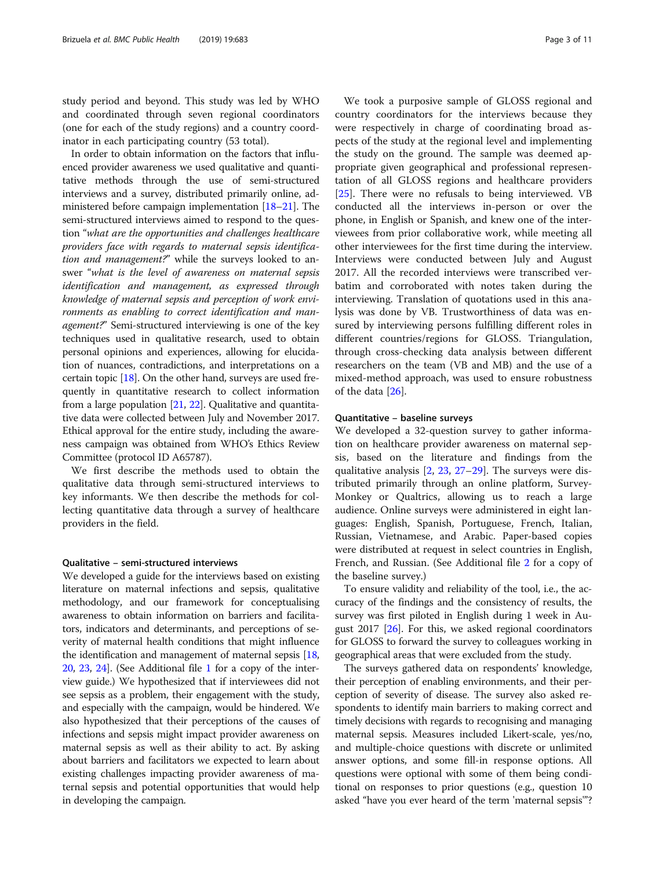study period and beyond. This study was led by WHO and coordinated through seven regional coordinators (one for each of the study regions) and a country coordinator in each participating country (53 total).

In order to obtain information on the factors that influenced provider awareness we used qualitative and quantitative methods through the use of semi-structured interviews and a survey, distributed primarily online, administered before campaign implementation [\[18](#page-9-0)–[21](#page-9-0)]. The semi-structured interviews aimed to respond to the question "what are the opportunities and challenges healthcare providers face with regards to maternal sepsis identification and management?" while the surveys looked to answer "what is the level of awareness on maternal sepsis identification and management, as expressed through knowledge of maternal sepsis and perception of work environments as enabling to correct identification and management?" Semi-structured interviewing is one of the key techniques used in qualitative research, used to obtain personal opinions and experiences, allowing for elucidation of nuances, contradictions, and interpretations on a certain topic [\[18\]](#page-9-0). On the other hand, surveys are used frequently in quantitative research to collect information from a large population [[21](#page-9-0), [22\]](#page-9-0). Qualitative and quantitative data were collected between July and November 2017. Ethical approval for the entire study, including the awareness campaign was obtained from WHO's Ethics Review Committee (protocol ID A65787).

We first describe the methods used to obtain the qualitative data through semi-structured interviews to key informants. We then describe the methods for collecting quantitative data through a survey of healthcare providers in the field.

# Qualitative – semi-structured interviews

We developed a guide for the interviews based on existing literature on maternal infections and sepsis, qualitative methodology, and our framework for conceptualising awareness to obtain information on barriers and facilitators, indicators and determinants, and perceptions of severity of maternal health conditions that might influence the identification and management of maternal sepsis [[18](#page-9-0), [20](#page-9-0), [23,](#page-9-0) [24\]](#page-9-0). (See Additional file [1](#page-8-0) for a copy of the interview guide.) We hypothesized that if interviewees did not see sepsis as a problem, their engagement with the study, and especially with the campaign, would be hindered. We also hypothesized that their perceptions of the causes of infections and sepsis might impact provider awareness on maternal sepsis as well as their ability to act. By asking about barriers and facilitators we expected to learn about existing challenges impacting provider awareness of maternal sepsis and potential opportunities that would help in developing the campaign.

We took a purposive sample of GLOSS regional and country coordinators for the interviews because they were respectively in charge of coordinating broad aspects of the study at the regional level and implementing the study on the ground. The sample was deemed appropriate given geographical and professional representation of all GLOSS regions and healthcare providers [[25\]](#page-9-0). There were no refusals to being interviewed. VB conducted all the interviews in-person or over the phone, in English or Spanish, and knew one of the interviewees from prior collaborative work, while meeting all other interviewees for the first time during the interview. Interviews were conducted between July and August 2017. All the recorded interviews were transcribed verbatim and corroborated with notes taken during the interviewing. Translation of quotations used in this analysis was done by VB. Trustworthiness of data was ensured by interviewing persons fulfilling different roles in different countries/regions for GLOSS. Triangulation, through cross-checking data analysis between different researchers on the team (VB and MB) and the use of a mixed-method approach, was used to ensure robustness of the data [[26\]](#page-9-0).

# Quantitative – baseline surveys

We developed a 32-question survey to gather information on healthcare provider awareness on maternal sepsis, based on the literature and findings from the qualitative analysis [[2,](#page-9-0) [23](#page-9-0), [27](#page-9-0)–[29](#page-9-0)]. The surveys were distributed primarily through an online platform, Survey-Monkey or Qualtrics, allowing us to reach a large audience. Online surveys were administered in eight languages: English, Spanish, Portuguese, French, Italian, Russian, Vietnamese, and Arabic. Paper-based copies were distributed at request in select countries in English, French, and Russian. (See Additional file [2](#page-8-0) for a copy of the baseline survey.)

To ensure validity and reliability of the tool, i.e., the accuracy of the findings and the consistency of results, the survey was first piloted in English during 1 week in August 2017 [\[26\]](#page-9-0). For this, we asked regional coordinators for GLOSS to forward the survey to colleagues working in geographical areas that were excluded from the study.

The surveys gathered data on respondents' knowledge, their perception of enabling environments, and their perception of severity of disease. The survey also asked respondents to identify main barriers to making correct and timely decisions with regards to recognising and managing maternal sepsis. Measures included Likert-scale, yes/no, and multiple-choice questions with discrete or unlimited answer options, and some fill-in response options. All questions were optional with some of them being conditional on responses to prior questions (e.g., question 10 asked "have you ever heard of the term 'maternal sepsis'"?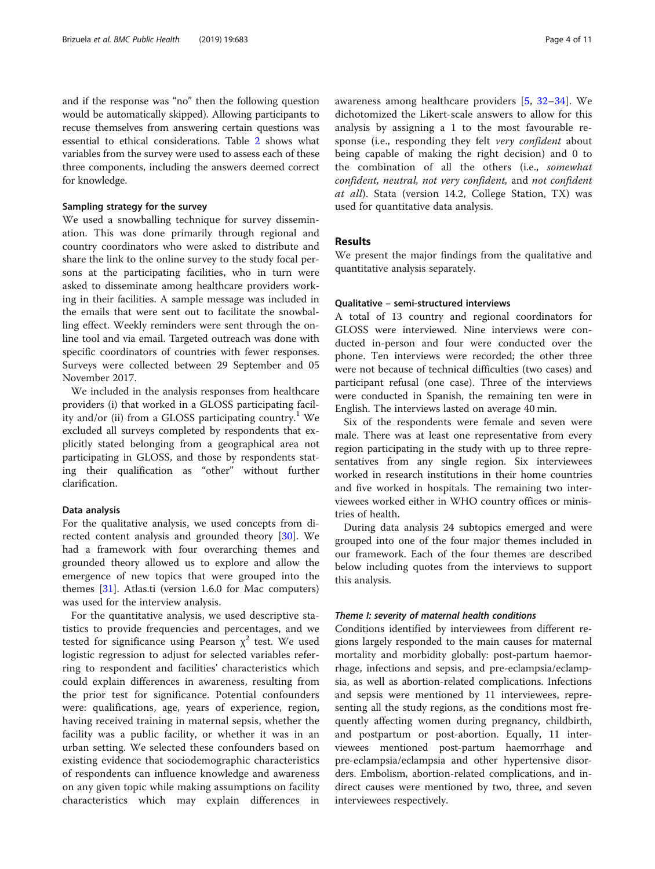and if the response was "no" then the following question would be automatically skipped). Allowing participants to recuse themselves from answering certain questions was essential to ethical considerations. Table [2](#page-5-0) shows what variables from the survey were used to assess each of these three components, including the answers deemed correct for knowledge.

#### Sampling strategy for the survey

We used a snowballing technique for survey dissemination. This was done primarily through regional and country coordinators who were asked to distribute and share the link to the online survey to the study focal persons at the participating facilities, who in turn were asked to disseminate among healthcare providers working in their facilities. A sample message was included in the emails that were sent out to facilitate the snowballing effect. Weekly reminders were sent through the online tool and via email. Targeted outreach was done with specific coordinators of countries with fewer responses. Surveys were collected between 29 September and 05 November 2017.

We included in the analysis responses from healthcare providers (i) that worked in a GLOSS participating facility and/or (ii) from a GLOSS participating country.<sup>1</sup> We excluded all surveys completed by respondents that explicitly stated belonging from a geographical area not participating in GLOSS, and those by respondents stating their qualification as "other" without further clarification.

## Data analysis

For the qualitative analysis, we used concepts from directed content analysis and grounded theory [\[30](#page-9-0)]. We had a framework with four overarching themes and grounded theory allowed us to explore and allow the emergence of new topics that were grouped into the themes [\[31](#page-9-0)]. Atlas.ti (version 1.6.0 for Mac computers) was used for the interview analysis.

For the quantitative analysis, we used descriptive statistics to provide frequencies and percentages, and we tested for significance using Pearson  $x^2$  test. We used logistic regression to adjust for selected variables referring to respondent and facilities' characteristics which could explain differences in awareness, resulting from the prior test for significance. Potential confounders were: qualifications, age, years of experience, region, having received training in maternal sepsis, whether the facility was a public facility, or whether it was in an urban setting. We selected these confounders based on existing evidence that sociodemographic characteristics of respondents can influence knowledge and awareness on any given topic while making assumptions on facility characteristics which may explain differences in awareness among healthcare providers [[5,](#page-9-0) [32](#page-9-0)–[34](#page-9-0)]. We dichotomized the Likert-scale answers to allow for this analysis by assigning a 1 to the most favourable response (i.e., responding they felt very confident about being capable of making the right decision) and 0 to the combination of all the others (i.e., somewhat confident, neutral, not very confident, and not confident at all). Stata (version 14.2, College Station, TX) was used for quantitative data analysis.

# Results

We present the major findings from the qualitative and quantitative analysis separately.

# Qualitative – semi-structured interviews

A total of 13 country and regional coordinators for GLOSS were interviewed. Nine interviews were conducted in-person and four were conducted over the phone. Ten interviews were recorded; the other three were not because of technical difficulties (two cases) and participant refusal (one case). Three of the interviews were conducted in Spanish, the remaining ten were in English. The interviews lasted on average 40 min.

Six of the respondents were female and seven were male. There was at least one representative from every region participating in the study with up to three representatives from any single region. Six interviewees worked in research institutions in their home countries and five worked in hospitals. The remaining two interviewees worked either in WHO country offices or ministries of health.

During data analysis 24 subtopics emerged and were grouped into one of the four major themes included in our framework. Each of the four themes are described below including quotes from the interviews to support this analysis.

### Theme I: severity of maternal health conditions

Conditions identified by interviewees from different regions largely responded to the main causes for maternal mortality and morbidity globally: post-partum haemorrhage, infections and sepsis, and pre-eclampsia/eclampsia, as well as abortion-related complications. Infections and sepsis were mentioned by 11 interviewees, representing all the study regions, as the conditions most frequently affecting women during pregnancy, childbirth, and postpartum or post-abortion. Equally, 11 interviewees mentioned post-partum haemorrhage and pre-eclampsia/eclampsia and other hypertensive disorders. Embolism, abortion-related complications, and indirect causes were mentioned by two, three, and seven interviewees respectively.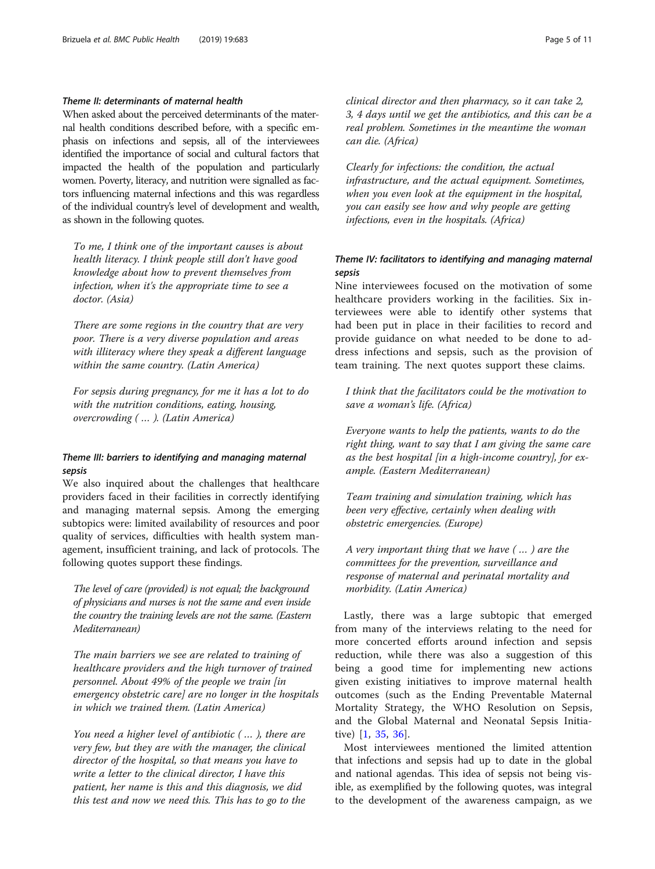# Theme II: determinants of maternal health

When asked about the perceived determinants of the maternal health conditions described before, with a specific emphasis on infections and sepsis, all of the interviewees identified the importance of social and cultural factors that impacted the health of the population and particularly women. Poverty, literacy, and nutrition were signalled as factors influencing maternal infections and this was regardless of the individual country's level of development and wealth, as shown in the following quotes.

To me, I think one of the important causes is about health literacy. I think people still don't have good knowledge about how to prevent themselves from infection, when it's the appropriate time to see a doctor. (Asia)

There are some regions in the country that are very poor. There is a very diverse population and areas with illiteracy where they speak a different language within the same country. (Latin America)

For sepsis during pregnancy, for me it has a lot to do with the nutrition conditions, eating, housing, overcrowding ( … ). (Latin America)

# Theme III: barriers to identifying and managing maternal sepsis

We also inquired about the challenges that healthcare providers faced in their facilities in correctly identifying and managing maternal sepsis. Among the emerging subtopics were: limited availability of resources and poor quality of services, difficulties with health system management, insufficient training, and lack of protocols. The following quotes support these findings.

The level of care (provided) is not equal; the background of physicians and nurses is not the same and even inside the country the training levels are not the same. (Eastern Mediterranean)

The main barriers we see are related to training of healthcare providers and the high turnover of trained personnel. About 49% of the people we train [in emergency obstetric care] are no longer in the hospitals in which we trained them. (Latin America)

You need a higher level of antibiotic ( … ), there are very few, but they are with the manager, the clinical director of the hospital, so that means you have to write a letter to the clinical director, I have this patient, her name is this and this diagnosis, we did this test and now we need this. This has to go to the

clinical director and then pharmacy, so it can take 2, 3, 4 days until we get the antibiotics, and this can be a real problem. Sometimes in the meantime the woman can die. (Africa)

Clearly for infections: the condition, the actual infrastructure, and the actual equipment. Sometimes, when you even look at the equipment in the hospital, you can easily see how and why people are getting infections, even in the hospitals. (Africa)

# Theme IV: facilitators to identifying and managing maternal sepsis

Nine interviewees focused on the motivation of some healthcare providers working in the facilities. Six interviewees were able to identify other systems that had been put in place in their facilities to record and provide guidance on what needed to be done to address infections and sepsis, such as the provision of team training. The next quotes support these claims.

I think that the facilitators could be the motivation to save a woman's life. (Africa)

Everyone wants to help the patients, wants to do the right thing, want to say that I am giving the same care as the best hospital [in a high-income country], for example. (Eastern Mediterranean)

Team training and simulation training, which has been very effective, certainly when dealing with obstetric emergencies. (Europe)

A very important thing that we have ( … ) are the committees for the prevention, surveillance and response of maternal and perinatal mortality and morbidity. (Latin America)

Lastly, there was a large subtopic that emerged from many of the interviews relating to the need for more concerted efforts around infection and sepsis reduction, while there was also a suggestion of this being a good time for implementing new actions given existing initiatives to improve maternal health outcomes (such as the Ending Preventable Maternal Mortality Strategy, the WHO Resolution on Sepsis, and the Global Maternal and Neonatal Sepsis Initiative) [\[1](#page-9-0), [35](#page-9-0), [36](#page-9-0)].

Most interviewees mentioned the limited attention that infections and sepsis had up to date in the global and national agendas. This idea of sepsis not being visible, as exemplified by the following quotes, was integral to the development of the awareness campaign, as we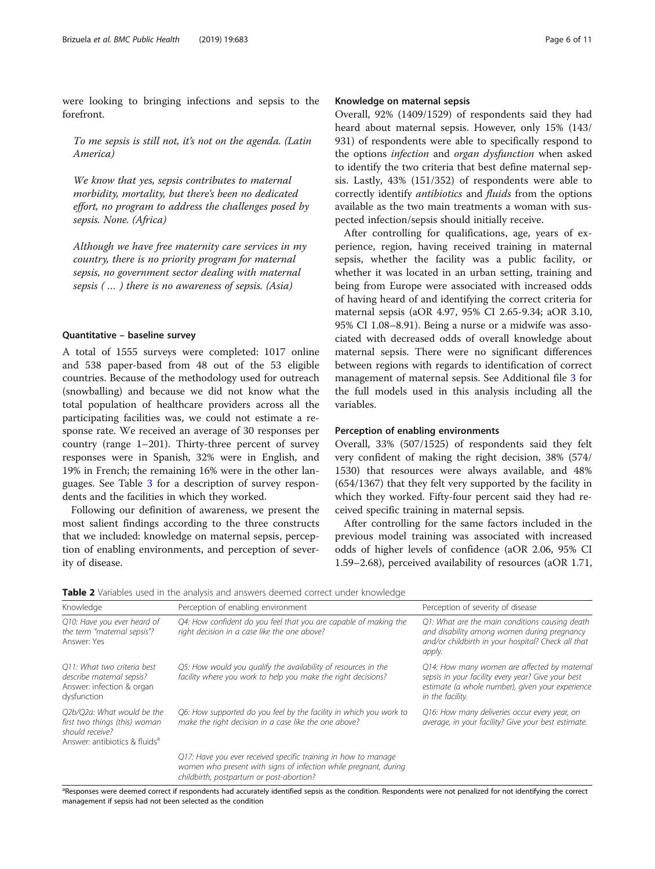<span id="page-5-0"></span>were looking to bringing infections and sepsis to the forefront.

To me sepsis is still not, it's not on the agenda. (Latin America)

We know that yes, sepsis contributes to maternal morbidity, mortality, but there's been no dedicated effort, no program to address the challenges posed by sepsis. None. (Africa)

Although we have free maternity care services in my country, there is no priority program for maternal sepsis, no government sector dealing with maternal sepsis ( … ) there is no awareness of sepsis. (Asia)

## Quantitative – baseline survey

A total of 1555 surveys were completed: 1017 online and 538 paper-based from 48 out of the 53 eligible countries. Because of the methodology used for outreach (snowballing) and because we did not know what the total population of healthcare providers across all the participating facilities was, we could not estimate a response rate. We received an average of 30 responses per country (range 1–201). Thirty-three percent of survey responses were in Spanish, 32% were in English, and 19% in French; the remaining 16% were in the other languages. See Table [3](#page-7-0) for a description of survey respondents and the facilities in which they worked.

Following our definition of awareness, we present the most salient findings according to the three constructs that we included: knowledge on maternal sepsis, perception of enabling environments, and perception of severity of disease.

# Knowledge on maternal sepsis

Overall, 92% (1409/1529) of respondents said they had heard about maternal sepsis. However, only 15% (143/ 931) of respondents were able to specifically respond to the options infection and organ dysfunction when asked to identify the two criteria that best define maternal sepsis. Lastly, 43% (151/352) of respondents were able to correctly identify antibiotics and fluids from the options available as the two main treatments a woman with suspected infection/sepsis should initially receive.

After controlling for qualifications, age, years of experience, region, having received training in maternal sepsis, whether the facility was a public facility, or whether it was located in an urban setting, training and being from Europe were associated with increased odds of having heard of and identifying the correct criteria for maternal sepsis (aOR 4.97, 95% CI 2.65-9.34; aOR 3.10, 95% CI 1.08–8.91). Being a nurse or a midwife was associated with decreased odds of overall knowledge about maternal sepsis. There were no significant differences between regions with regards to identification of correct management of maternal sepsis. See Additional file [3](#page-8-0) for the full models used in this analysis including all the variables.

# Perception of enabling environments

Overall, 33% (507/1525) of respondents said they felt very confident of making the right decision, 38% (574/ 1530) that resources were always available, and 48% (654/1367) that they felt very supported by the facility in which they worked. Fifty-four percent said they had received specific training in maternal sepsis.

After controlling for the same factors included in the previous model training was associated with increased odds of higher levels of confidence (aOR 2.06, 95% CI 1.59–2.68), perceived availability of resources (aOR 1.71,

|  | Table 2 Variables used in the analysis and answers deemed correct under knowledge |
|--|-----------------------------------------------------------------------------------|
|--|-----------------------------------------------------------------------------------|

| Knowledge                                                                                                                   | Perception of enabling environment                                                                                                                                             | Perception of severity of disease                                                                                                                                          |
|-----------------------------------------------------------------------------------------------------------------------------|--------------------------------------------------------------------------------------------------------------------------------------------------------------------------------|----------------------------------------------------------------------------------------------------------------------------------------------------------------------------|
| Q10: Have you ever heard of<br>the term "maternal sepsis"?<br>Answer: Yes                                                   | Q4: How confident do you feel that you are capable of making the<br>right decision in a case like the one above?                                                               | Q1: What are the main conditions causing death<br>and disability among women during pregnancy<br>and/or childbirth in your hospital? Check all that<br>apply.              |
| O11: What two criteria best<br>describe maternal sepsis?<br>Answer: infection & organ<br>dysfunction                        | Q5: How would you qualify the availability of resources in the<br>facility where you work to help you make the right decisions?                                                | Q14: How many women are affected by maternal<br>sepsis in your facility every year? Give your best<br>estimate (a whole number), given your experience<br>in the facility. |
| O2b/O2a: What would be the<br>first two things (this) woman<br>should receive?<br>Answer: antibiotics & fluids <sup>a</sup> | Q6: How supported do you feel by the facility in which you work to<br>make the right decision in a case like the one above?                                                    | Q16: How many deliveries occur every year, on<br>average, in your facility? Give your best estimate.                                                                       |
|                                                                                                                             | Q17: Have you ever received specific training in how to manage<br>women who present with signs of infection while pregnant, during<br>childbirth, postpartum or post-abortion? |                                                                                                                                                                            |

<sup>a</sup>Responses were deemed correct if respondents had accurately identified sepsis as the condition. Respondents were not penalized for not identifying the correct management if sepsis had not been selected as the condition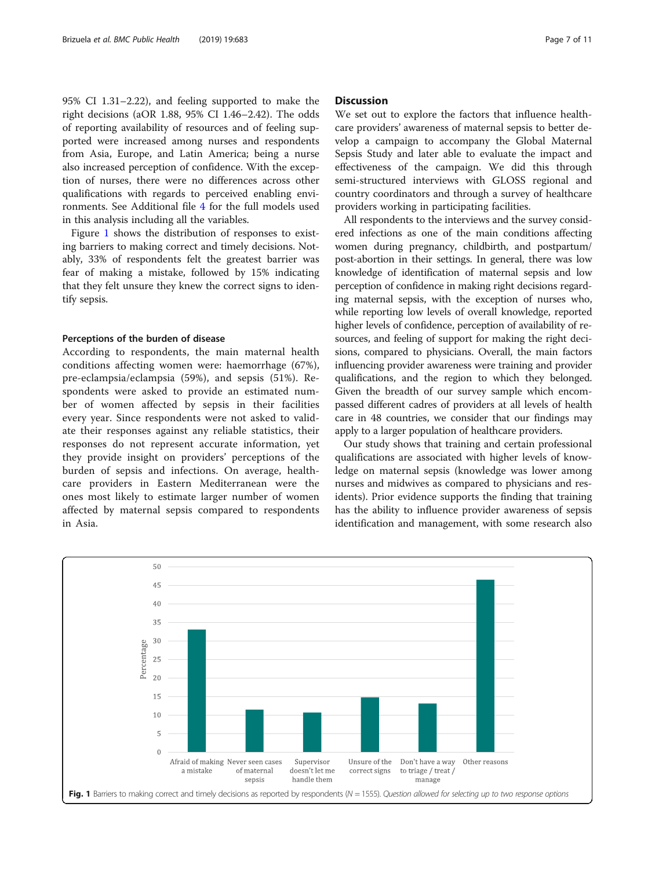95% CI 1.31–2.22), and feeling supported to make the right decisions (aOR 1.88, 95% CI 1.46–2.42). The odds of reporting availability of resources and of feeling supported were increased among nurses and respondents from Asia, Europe, and Latin America; being a nurse also increased perception of confidence. With the exception of nurses, there were no differences across other qualifications with regards to perceived enabling environments. See Additional file [4](#page-8-0) for the full models used in this analysis including all the variables.

Figure 1 shows the distribution of responses to existing barriers to making correct and timely decisions. Notably, 33% of respondents felt the greatest barrier was fear of making a mistake, followed by 15% indicating that they felt unsure they knew the correct signs to identify sepsis.

### Perceptions of the burden of disease

According to respondents, the main maternal health conditions affecting women were: haemorrhage (67%), pre-eclampsia/eclampsia (59%), and sepsis (51%). Respondents were asked to provide an estimated number of women affected by sepsis in their facilities every year. Since respondents were not asked to validate their responses against any reliable statistics, their responses do not represent accurate information, yet they provide insight on providers' perceptions of the burden of sepsis and infections. On average, healthcare providers in Eastern Mediterranean were the ones most likely to estimate larger number of women affected by maternal sepsis compared to respondents in Asia.

# **Discussion**

We set out to explore the factors that influence healthcare providers' awareness of maternal sepsis to better develop a campaign to accompany the Global Maternal Sepsis Study and later able to evaluate the impact and effectiveness of the campaign. We did this through semi-structured interviews with GLOSS regional and country coordinators and through a survey of healthcare providers working in participating facilities.

All respondents to the interviews and the survey considered infections as one of the main conditions affecting women during pregnancy, childbirth, and postpartum/ post-abortion in their settings. In general, there was low knowledge of identification of maternal sepsis and low perception of confidence in making right decisions regarding maternal sepsis, with the exception of nurses who, while reporting low levels of overall knowledge, reported higher levels of confidence, perception of availability of resources, and feeling of support for making the right decisions, compared to physicians. Overall, the main factors influencing provider awareness were training and provider qualifications, and the region to which they belonged. Given the breadth of our survey sample which encompassed different cadres of providers at all levels of health care in 48 countries, we consider that our findings may apply to a larger population of healthcare providers.

Our study shows that training and certain professional qualifications are associated with higher levels of knowledge on maternal sepsis (knowledge was lower among nurses and midwives as compared to physicians and residents). Prior evidence supports the finding that training has the ability to influence provider awareness of sepsis identification and management, with some research also

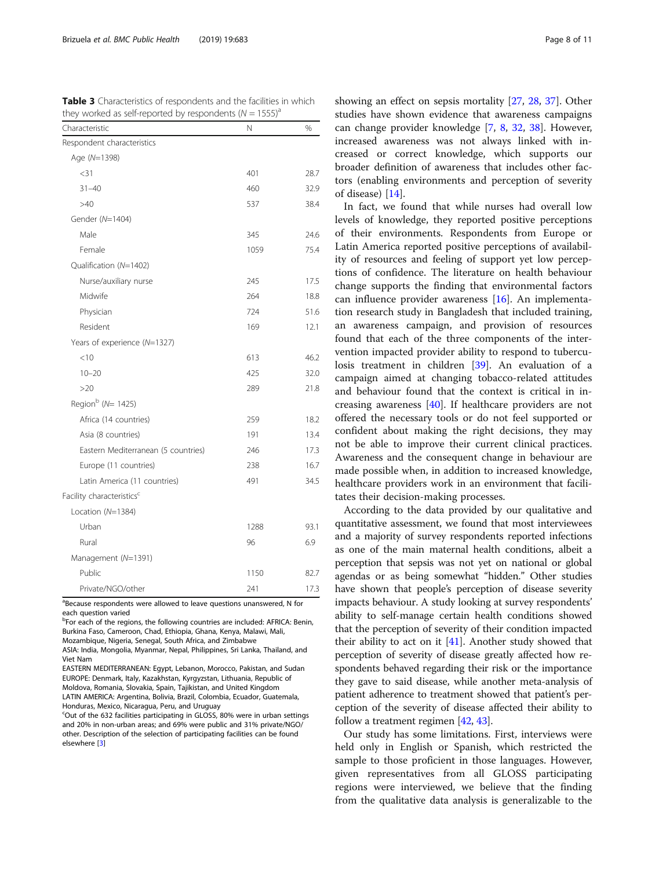<span id="page-7-0"></span>Table 3 Characteristics of respondents and the facilities in which they worked as self-reported by respondents  $(N = 1555)^{a}$ 

| Characteristic                        | Ν    | %    |
|---------------------------------------|------|------|
| Respondent characteristics            |      |      |
| Age (N=1398)                          |      |      |
| $<$ 31                                | 401  | 28.7 |
| $31 - 40$                             | 460  | 32.9 |
| >40                                   | 537  | 38.4 |
| Gender (N=1404)                       |      |      |
| Male                                  | 345  | 24.6 |
| Female                                | 1059 | 75.4 |
| Qualification (N=1402)                |      |      |
| Nurse/auxiliary nurse                 | 245  | 17.5 |
| Midwife                               | 264  | 18.8 |
| Physician                             | 724  | 51.6 |
| Resident                              | 169  | 12.1 |
| Years of experience (N=1327)          |      |      |
| $<$ 10                                | 613  | 46.2 |
| $10 - 20$                             | 425  | 32.0 |
| >20                                   | 289  | 21.8 |
| Region $^{\rm b}$ (N= 1425)           |      |      |
| Africa (14 countries)                 | 259  | 18.2 |
| Asia (8 countries)                    | 191  | 13.4 |
| Eastern Mediterranean (5 countries)   | 246  | 17.3 |
| Europe (11 countries)                 | 238  | 16.7 |
| Latin America (11 countries)          | 491  | 34.5 |
| Facility characteristics <sup>c</sup> |      |      |
| Location (N=1384)                     |      |      |
| Urban                                 | 1288 | 93.1 |
| Rural                                 | 96   | 6.9  |
| Management (N=1391)                   |      |      |
| Public                                | 1150 | 82.7 |
| Private/NGO/other                     | 241  | 17.3 |

<sup>a</sup>Because respondents were allowed to leave questions unanswered, N for each question varied

<sup>b</sup>For each of the regions, the following countries are included: AFRICA: Benin, Burkina Faso, Cameroon, Chad, Ethiopia, Ghana, Kenya, Malawi, Mali, Mozambique, Nigeria, Senegal, South Africa, and Zimbabwe

ASIA: India, Mongolia, Myanmar, Nepal, Philippines, Sri Lanka, Thailand, and Viet Nam

EASTERN MEDITERRANEAN: Egypt, Lebanon, Morocco, Pakistan, and Sudan EUROPE: Denmark, Italy, Kazakhstan, Kyrgyzstan, Lithuania, Republic of Moldova, Romania, Slovakia, Spain, Tajikistan, and United Kingdom LATIN AMERICA: Argentina, Bolivia, Brazil, Colombia, Ecuador, Guatemala, Honduras, Mexico, Nicaragua, Peru, and Uruguay

c Out of the 632 facilities participating in GLOSS, 80% were in urban settings and 20% in non-urban areas; and 69% were public and 31% private/NGO/ other. Description of the selection of participating facilities can be found elsewhere [\[3\]](#page-9-0)

showing an effect on sepsis mortality [\[27,](#page-9-0) [28](#page-9-0), [37\]](#page-9-0). Other studies have shown evidence that awareness campaigns can change provider knowledge [[7,](#page-9-0) [8,](#page-9-0) [32,](#page-9-0) [38](#page-9-0)]. However, increased awareness was not always linked with increased or correct knowledge, which supports our broader definition of awareness that includes other factors (enabling environments and perception of severity of disease) [[14](#page-9-0)].

In fact, we found that while nurses had overall low levels of knowledge, they reported positive perceptions of their environments. Respondents from Europe or Latin America reported positive perceptions of availability of resources and feeling of support yet low perceptions of confidence. The literature on health behaviour change supports the finding that environmental factors can influence provider awareness [[16\]](#page-9-0). An implementation research study in Bangladesh that included training, an awareness campaign, and provision of resources found that each of the three components of the intervention impacted provider ability to respond to tuberculosis treatment in children [[39\]](#page-9-0). An evaluation of a campaign aimed at changing tobacco-related attitudes and behaviour found that the context is critical in increasing awareness [[40](#page-9-0)]. If healthcare providers are not offered the necessary tools or do not feel supported or confident about making the right decisions, they may not be able to improve their current clinical practices. Awareness and the consequent change in behaviour are made possible when, in addition to increased knowledge, healthcare providers work in an environment that facilitates their decision-making processes.

According to the data provided by our qualitative and quantitative assessment, we found that most interviewees and a majority of survey respondents reported infections as one of the main maternal health conditions, albeit a perception that sepsis was not yet on national or global agendas or as being somewhat "hidden." Other studies have shown that people's perception of disease severity impacts behaviour. A study looking at survey respondents' ability to self-manage certain health conditions showed that the perception of severity of their condition impacted their ability to act on it  $[41]$ . Another study showed that perception of severity of disease greatly affected how respondents behaved regarding their risk or the importance they gave to said disease, while another meta-analysis of patient adherence to treatment showed that patient's perception of the severity of disease affected their ability to follow a treatment regimen [\[42,](#page-10-0) [43](#page-10-0)].

Our study has some limitations. First, interviews were held only in English or Spanish, which restricted the sample to those proficient in those languages. However, given representatives from all GLOSS participating regions were interviewed, we believe that the finding from the qualitative data analysis is generalizable to the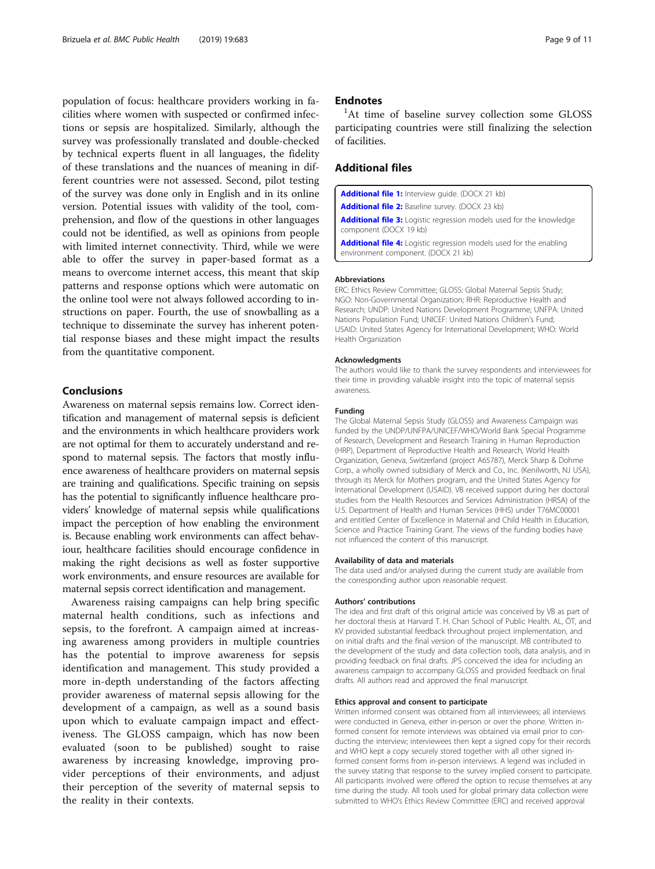<span id="page-8-0"></span>population of focus: healthcare providers working in facilities where women with suspected or confirmed infections or sepsis are hospitalized. Similarly, although the survey was professionally translated and double-checked by technical experts fluent in all languages, the fidelity of these translations and the nuances of meaning in different countries were not assessed. Second, pilot testing of the survey was done only in English and in its online version. Potential issues with validity of the tool, comprehension, and flow of the questions in other languages could not be identified, as well as opinions from people with limited internet connectivity. Third, while we were able to offer the survey in paper-based format as a means to overcome internet access, this meant that skip patterns and response options which were automatic on the online tool were not always followed according to instructions on paper. Fourth, the use of snowballing as a technique to disseminate the survey has inherent potential response biases and these might impact the results from the quantitative component.

# Conclusions

Awareness on maternal sepsis remains low. Correct identification and management of maternal sepsis is deficient and the environments in which healthcare providers work are not optimal for them to accurately understand and respond to maternal sepsis. The factors that mostly influence awareness of healthcare providers on maternal sepsis are training and qualifications. Specific training on sepsis has the potential to significantly influence healthcare providers' knowledge of maternal sepsis while qualifications impact the perception of how enabling the environment is. Because enabling work environments can affect behaviour, healthcare facilities should encourage confidence in making the right decisions as well as foster supportive work environments, and ensure resources are available for maternal sepsis correct identification and management.

Awareness raising campaigns can help bring specific maternal health conditions, such as infections and sepsis, to the forefront. A campaign aimed at increasing awareness among providers in multiple countries has the potential to improve awareness for sepsis identification and management. This study provided a more in-depth understanding of the factors affecting provider awareness of maternal sepsis allowing for the development of a campaign, as well as a sound basis upon which to evaluate campaign impact and effectiveness. The GLOSS campaign, which has now been evaluated (soon to be published) sought to raise awareness by increasing knowledge, improving provider perceptions of their environments, and adjust their perception of the severity of maternal sepsis to the reality in their contexts.

# **Endnotes**

<sup>1</sup>At time of baseline survey collection some GLOSS participating countries were still finalizing the selection of facilities.

# Additional files

[Additional file 1:](https://doi.org/10.1186/s12889-019-6920-0) Interview guide. (DOCX 21 kb) [Additional file 2:](https://doi.org/10.1186/s12889-019-6920-0) Baseline survey. (DOCX 23 kb) [Additional file 3:](https://doi.org/10.1186/s12889-019-6920-0) Logistic regression models used for the knowledge component (DOCX 19 kb)

[Additional file 4:](https://doi.org/10.1186/s12889-019-6920-0) Logistic regression models used for the enabling environment component. (DOCX 21 kb)

#### **Abbreviations**

ERC: Ethics Review Committee; GLOSS: Global Maternal Sepsis Study; NGO: Non-Governmental Organization; RHR: Reproductive Health and Research; UNDP: United Nations Development Programme; UNFPA: United Nations Population Fund; UNICEF: United Nations Children's Fund; USAID: United States Agency for International Development; WHO: World Health Organization

#### Acknowledgments

The authors would like to thank the survey respondents and interviewees for their time in providing valuable insight into the topic of maternal sepsis awareness.

#### Funding

The Global Maternal Sepsis Study (GLOSS) and Awareness Campaign was funded by the UNDP/UNFPA/UNICEF/WHO/World Bank Special Programme of Research, Development and Research Training in Human Reproduction (HRP), Department of Reproductive Health and Research, World Health Organization, Geneva, Switzerland (project A65787), Merck Sharp & Dohme Corp., a wholly owned subsidiary of Merck and Co., Inc. (Kenilworth, NJ USA), through its Merck for Mothers program, and the United States Agency for International Development (USAID). VB received support during her doctoral studies from the Health Resources and Services Administration (HRSA) of the U.S. Department of Health and Human Services (HHS) under T76MC00001 and entitled Center of Excellence in Maternal and Child Health in Education, Science and Practice Training Grant. The views of the funding bodies have not influenced the content of this manuscript.

#### Availability of data and materials

The data used and/or analysed during the current study are available from the corresponding author upon reasonable request.

### Authors' contributions

The idea and first draft of this original article was conceived by VB as part of her doctoral thesis at Harvard T. H. Chan School of Public Health. AL, ÖT, and KV provided substantial feedback throughout project implementation, and on initial drafts and the final version of the manuscript. MB contributed to the development of the study and data collection tools, data analysis, and in providing feedback on final drafts. JPS conceived the idea for including an awareness campaign to accompany GLOSS and provided feedback on final drafts. All authors read and approved the final manuscript.

#### Ethics approval and consent to participate

Written informed consent was obtained from all interviewees; all interviews were conducted in Geneva, either in-person or over the phone. Written informed consent for remote interviews was obtained via email prior to conducting the interview; interviewees then kept a signed copy for their records and WHO kept a copy securely stored together with all other signed informed consent forms from in-person interviews. A legend was included in the survey stating that response to the survey implied consent to participate. All participants involved were offered the option to recuse themselves at any time during the study. All tools used for global primary data collection were submitted to WHO's Ethics Review Committee (ERC) and received approval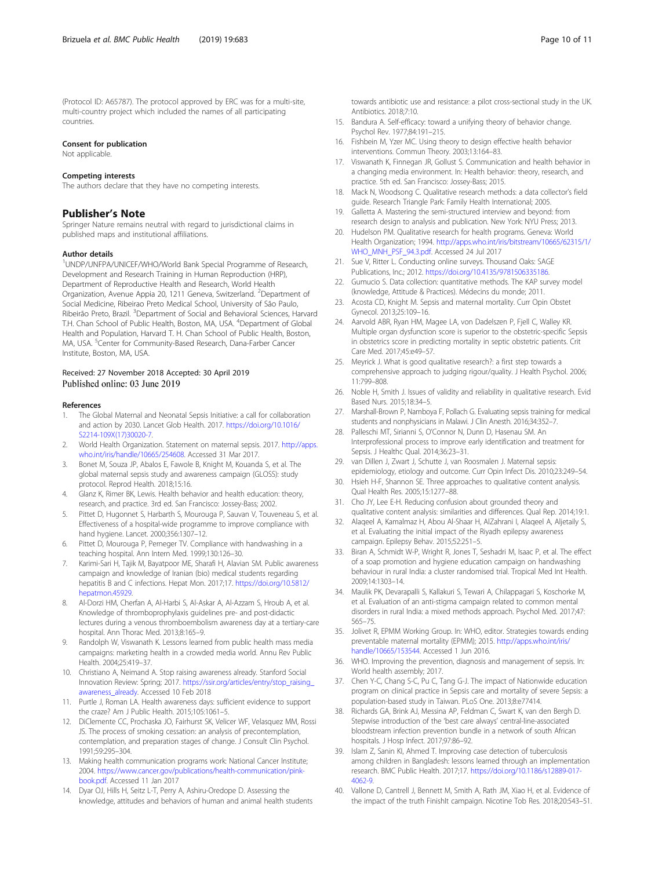<span id="page-9-0"></span>(Protocol ID: A65787). The protocol approved by ERC was for a multi-site, multi-country project which included the names of all participating countries.

#### Consent for publication

Not applicable.

#### Competing interests

The authors declare that they have no competing interests.

# Publisher's Note

Springer Nature remains neutral with regard to jurisdictional claims in published maps and institutional affiliations.

#### Author details

1 UNDP/UNFPA/UNICEF/WHO/World Bank Special Programme of Research, Development and Research Training in Human Reproduction (HRP), Department of Reproductive Health and Research, World Health Organization, Avenue Appia 20, 1211 Geneva, Switzerland. <sup>2</sup>Department of Social Medicine, Ribeirao Preto Medical School, University of São Paulo, Ribeirão Preto, Brazil. <sup>3</sup>Department of Social and Behavioral Sciences, Harvard T.H. Chan School of Public Health, Boston, MA, USA. <sup>4</sup>Department of Global Health and Population, Harvard T. H. Chan School of Public Health, Boston, MA, USA. <sup>5</sup>Center for Community-Based Research, Dana-Farber Cancer Institute, Boston, MA, USA.

#### Received: 27 November 2018 Accepted: 30 April 2019 Published online: 03 June 2019

#### References

- 1. The Global Maternal and Neonatal Sepsis Initiative: a call for collaboration and action by 2030. Lancet Glob Health. 2017. [https://doi.org/10.1016/](https://doi.org/10.1016/S2214-109X(17)30020-7) [S2214-109X\(17\)30020-7.](https://doi.org/10.1016/S2214-109X(17)30020-7)
- World Health Organization. Statement on maternal sepsis. 2017. [http://apps.](http://apps.who.int/iris/handle/10665/254608) [who.int/iris/handle/10665/254608](http://apps.who.int/iris/handle/10665/254608). Accessed 31 Mar 2017.
- 3. Bonet M, Souza JP, Abalos E, Fawole B, Knight M, Kouanda S, et al. The global maternal sepsis study and awareness campaign (GLOSS): study protocol. Reprod Health. 2018;15:16.
- 4. Glanz K, Rimer BK, Lewis. Health behavior and health education: theory, research, and practice. 3rd ed. San Francisco: Jossey-Bass; 2002.
- Pittet D, Hugonnet S, Harbarth S, Mourouga P, Sauvan V, Touveneau S, et al. Effectiveness of a hospital-wide programme to improve compliance with hand hygiene. Lancet. 2000;356:1307–12.
- 6. Pittet D, Mourouga P, Perneger TV. Compliance with handwashing in a teaching hospital. Ann Intern Med. 1999;130:126–30.
- 7. Karimi-Sari H, Tajik M, Bayatpoor ME, Sharafi H, Alavian SM. Public awareness campaign and knowledge of Iranian (bio) medical students regarding hepatitis B and C infections. Hepat Mon. 2017;17. [https://doi.org/10.5812/](https://doi.org/10.5812/hepatmon.45929) [hepatmon.45929.](https://doi.org/10.5812/hepatmon.45929)
- 8. Al-Dorzi HM, Cherfan A, Al-Harbi S, Al-Askar A, Al-Azzam S, Hroub A, et al. Knowledge of thromboprophylaxis guidelines pre- and post-didactic lectures during a venous thromboembolism awareness day at a tertiary-care hospital. Ann Thorac Med. 2013;8:165–9.
- 9. Randolph W, Viswanath K. Lessons learned from public health mass media campaigns: marketing health in a crowded media world. Annu Rev Public Health. 2004;25:419–37.
- 10. Christiano A, Neimand A. Stop raising awareness already. Stanford Social Innovation Review: Spring; 2017. [https://ssir.org/articles/entry/stop\\_raising\\_](https://ssir.org/articles/entry/stop_raising_awareness_already) [awareness\\_already.](https://ssir.org/articles/entry/stop_raising_awareness_already) Accessed 10 Feb 2018
- 11. Purtle J, Roman LA. Health awareness days: sufficient evidence to support the craze? Am J Public Health. 2015;105:1061–5.
- 12. DiClemente CC, Prochaska JO, Fairhurst SK, Velicer WF, Velasquez MM, Rossi JS. The process of smoking cessation: an analysis of precontemplation, contemplation, and preparation stages of change. J Consult Clin Psychol. 1991;59:295–304.
- 13. Making health communication programs work: National Cancer Institute; 2004. [https://www.cancer.gov/publications/health-communication/pink](https://www.cancer.gov/publications/health-communication/pink-book.pdf)[book.pdf.](https://www.cancer.gov/publications/health-communication/pink-book.pdf) Accessed 11 Jan 2017
- 14. Dyar OJ, Hills H, Seitz L-T, Perry A, Ashiru-Oredope D. Assessing the knowledge, attitudes and behaviors of human and animal health students
- towards antibiotic use and resistance: a pilot cross-sectional study in the UK. Antibiotics. 2018;7:10.
- 15. Bandura A. Self-efficacy: toward a unifying theory of behavior change. Psychol Rev. 1977;84:191–215.
- 16. Fishbein M, Yzer MC. Using theory to design effective health behavior interventions. Commun Theory. 2003;13:164–83.
- 17. Viswanath K, Finnegan JR, Gollust S. Communication and health behavior in a changing media environment. In: Health behavior: theory, research, and practice. 5th ed. San Francisco: Jossey-Bass; 2015.
- 18. Mack N, Woodsong C. Qualitative research methods: a data collector's field guide. Research Triangle Park: Family Health International; 2005.
- 19. Galletta A. Mastering the semi-structured interview and beyond: from research design to analysis and publication. New York: NYU Press; 2013.
- 20. Hudelson PM. Qualitative research for health programs. Geneva: World Health Organization; 1994. [http://apps.who.int/iris/bitstream/10665/62315/1/](http://apps.who.int/iris/bitstream/10665/62315/1/WHO_MNH_PSF_94.3.pdf) [WHO\\_MNH\\_PSF\\_94.3.pdf](http://apps.who.int/iris/bitstream/10665/62315/1/WHO_MNH_PSF_94.3.pdf). Accessed 24 Jul 2017
- 21. Sue V, Ritter L. Conducting online surveys. Thousand Oaks: SAGE Publications, Inc.; 2012. [https://doi.org/10.4135/9781506335186.](https://doi.org/10.4135/9781506335186)
- 22. Gumucio S. Data collection: quantitative methods. The KAP survey model (knowledge, Attitude & Practices). Médecins du monde; 2011.
- 23. Acosta CD, Knight M. Sepsis and maternal mortality. Curr Opin Obstet Gynecol. 2013;25:109–16.
- 24. Aarvold ABR, Ryan HM, Magee LA, von Dadelszen P, Fjell C, Walley KR. Multiple organ dysfunction score is superior to the obstetric-specific Sepsis in obstetrics score in predicting mortality in septic obstetric patients. Crit Care Med. 2017;45:e49–57.
- 25. Meyrick J. What is good qualitative research?: a first step towards a comprehensive approach to judging rigour/quality. J Health Psychol. 2006; 11:799–808.
- 26. Noble H, Smith J. Issues of validity and reliability in qualitative research. Evid Based Nurs. 2015;18:34–5.
- 27. Marshall-Brown P, Namboya F, Pollach G. Evaluating sepsis training for medical students and nonphysicians in Malawi. J Clin Anesth. 2016;34:352–7.
- 28. Palleschi MT, Sirianni S, O'Connor N, Dunn D, Hasenau SM. An Interprofessional process to improve early identification and treatment for Sepsis. J Healthc Qual. 2014;36:23–31.
- 29. van Dillen J, Zwart J, Schutte J, van Roosmalen J. Maternal sepsis: epidemiology, etiology and outcome. Curr Opin Infect Dis. 2010;23:249–54.
- 30. Hsieh H-F, Shannon SE. Three approaches to qualitative content analysis. Qual Health Res. 2005;15:1277–88.
- 31. Cho JY, Lee E-H. Reducing confusion about grounded theory and qualitative content analysis: similarities and differences. Qual Rep. 2014;19:1.
- 32. Alaqeel A, Kamalmaz H, Abou Al-Shaar H, AlZahrani I, Alaqeel A, Aljetaily S, et al. Evaluating the initial impact of the Riyadh epilepsy awareness campaign. Epilepsy Behav. 2015;52:251–5.
- 33. Biran A, Schmidt W-P, Wright R, Jones T, Seshadri M, Isaac P, et al. The effect of a soap promotion and hygiene education campaign on handwashing behaviour in rural India: a cluster randomised trial. Tropical Med Int Health. 2009;14:1303–14.
- 34. Maulik PK, Devarapalli S, Kallakuri S, Tewari A, Chilappagari S, Koschorke M, et al. Evaluation of an anti-stigma campaign related to common mental disorders in rural India: a mixed methods approach. Psychol Med. 2017;47: 565–75.
- 35. Jolivet R, EPMM Working Group. In: WHO, editor. Strategies towards ending preventable maternal mortality (EPMM); 2015. [http://apps.who.int/iris/](http://apps.who.int/iris/handle/10665/153544) [handle/10665/153544.](http://apps.who.int/iris/handle/10665/153544) Accessed 1 Jun 2016.
- 36. WHO. Improving the prevention, diagnosis and management of sepsis. In: World health assembly; 2017.
- 37. Chen Y-C, Chang S-C, Pu C, Tang G-J. The impact of Nationwide education program on clinical practice in Sepsis care and mortality of severe Sepsis: a population-based study in Taiwan. PLoS One. 2013;8:e77414.
- 38. Richards GA, Brink AJ, Messina AP, Feldman C, Swart K, van den Bergh D. Stepwise introduction of the 'best care always' central-line-associated bloodstream infection prevention bundle in a network of south African hospitals. J Hosp Infect. 2017;97:86–92.
- 39. Islam Z, Sanin KI, Ahmed T. Improving case detection of tuberculosis among children in Bangladesh: lessons learned through an implementation research. BMC Public Health. 2017;17. [https://doi.org/10.1186/s12889-017-](https://doi.org/10.1186/s12889-017-4062-9) [4062-9.](https://doi.org/10.1186/s12889-017-4062-9)
- 40. Vallone D, Cantrell J, Bennett M, Smith A, Rath JM, Xiao H, et al. Evidence of the impact of the truth FinishIt campaign. Nicotine Tob Res. 2018;20:543-51.